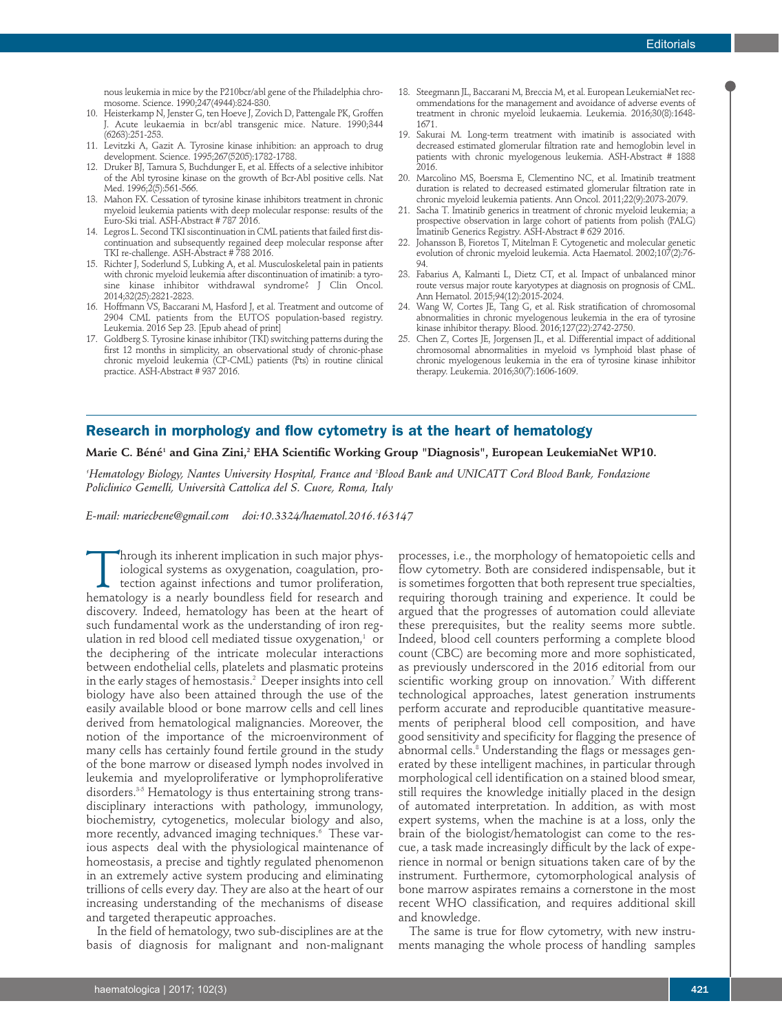nous leukemia in mice by the P210bcr/abl gene of the Philadelphia chromosome. Science. 1990;247(4944):824-830.

- 10. Heisterkamp N, Jenster G, ten Hoeve J, Zovich D, Pattengale PK, Groffen J. Acute leukaemia in bcr/abl transgenic mice. Nature. 1990;344 (6263):251-253.
- 11. Levitzki A, Gazit A. Tyrosine kinase inhibition: an approach to drug development. Science. 1995;267(5205):1782-1788.
- 12. Druker BJ, Tamura S, Buchdunger E, et al. Effects of a selective inhibitor of the Abl tyrosine kinase on the growth of Bcr-Abl positive cells. Nat Med. 1996;2(5):561-566.
- 13. Mahon FX. Cessation of tyrosine kinase inhibitors treatment in chronic myeloid leukemia patients with deep molecular response: results of the Euro-Ski trial. ASH-Abstract # 787 2016.
- 14. Legros L. Second TKI siscontinuation in CML patients that failed first discontinuation and subsequently regained deep molecular response after TKI re-challenge. ASH-Abstract # 788 2016.
- 15. Richter J, Soderlund S, Lubking A, et al. Musculoskeletal pain in patients with chronic myeloid leukemia after discontinuation of imatinib: a tyrosine kinase inhibitor withdrawal syndrome? J Clin Oncol. 2014;32(25):2821-2823.
- 16. Hoffmann VS, Baccarani M, Hasford J, et al. Treatment and outcome of 2904 CML patients from the EUTOS population-based registry. Leukemia. 2016 Sep 23. [Epub ahead of print]
- 17. Goldberg S. Tyrosine kinase inhibitor(TKI) switching patterns during the first 12 months in simplicity, an observational study of chronic-phase chronic myeloid leukemia (CP-CML) patients (Pts) in routine clinical practice. ASH-Abstract # 937 2016.
- 18. Steegmann JL, Baccarani M, Breccia M, et al. European LeukemiaNet recommendations for the management and avoidance of adverse events of treatment in chronic myeloid leukaemia. Leukemia. 2016;30(8):1648- 1671.
- 19. Sakurai M. Long-term treatment with imatinib is associated with decreased estimated glomerular filtration rate and hemoglobin level in patients with chronic myelogenous leukemia. ASH-Abstract # 1888 2016.
- 20. Marcolino MS, Boersma E, Clementino NC, et al. Imatinib treatment duration is related to decreased estimated glomerular filtration rate in chronic myeloid leukemia patients. Ann Oncol. 2011;22(9):2073-2079.
- 21. Sacha T. Imatinib generics in treatment of chronic myeloid leukemia; a prospective observation in large cohort of patients from polish (PALG) Imatinib Generics Registry. ASH-Abstract # 629 2016.
- 22. Johansson B, Fioretos T, Mitelman F. Cytogenetic and molecular genetic evolution of chronic myeloid leukemia. Acta Haematol. 2002;107(2):76- 94.
- 23. Fabarius A, Kalmanti L, Dietz CT, et al. Impact of unbalanced minor route versus major route karyotypes at diagnosis on prognosis of CML. Ann Hematol. 2015;94(12):2015-2024.
- 24. Wang W, Cortes JE, Tang G, et al. Risk stratification of chromosomal abnormalities in chronic myelogenous leukemia in the era of tyrosine kinase inhibitor therapy. Blood. 2016;127(22):2742-2750.
- 25. Chen Z, Cortes JE, Jorgensen JL, et al. Differential impact of additional chromosomal abnormalities in myeloid vs lymphoid blast phase of chronic myelogenous leukemia in the era of tyrosine kinase inhibitor therapy. Leukemia. 2016;30(7):1606-1609.

## **Research in morphology and flow cytometry is at the heart of hematology**

## **Marie C. Béné1 and Gina Zini, <sup>2</sup> EHA Scientific Working Group "Diagnosis", European LeukemiaNet WP10.**

'Hematology Biology, Nantes University Hospital, France and 'Blood Bank and UNICATT Cord Blood Bank, Fondazione *Policlinico Gemelli, Università Cattolica del S. Cuore, Roma, Italy*

*E-mail: mariecbene@gmail.com doi:10.3324/haematol.2016.163147*

Through its inherent implication in such major physiological systems as oxygenation, coagulation, protection against infections and tumor proliferation, hematology is a nearly boundless field for research and discovery. Indeed, hematology has been at the heart of such fundamental work as the understanding of iron regulation in red blood cell mediated tissue oxygenation, <sup>1</sup> or the deciphering of the intricate molecular interactions between endothelial cells, platelets and plasmatic proteins in the early stages of hemostasis. <sup>2</sup> Deeper insights into cell biology have also been attained through the use of the easily available blood or bone marrow cells and cell lines derived from hematological malignancies. Moreover, the notion of the importance of the microenvironment of many cells has certainly found fertile ground in the study of the bone marrow or diseased lymph nodes involved in leukemia and myeloproliferative or lymphoproliferative disorders. 3-5 Hematology is thus entertaining strong transdisciplinary interactions with pathology, immunology, biochemistry, cytogenetics, molecular biology and also, more recently, advanced imaging techniques. <sup>6</sup> These various aspects deal with the physiological maintenance of homeostasis, a precise and tightly regulated phenomenon in an extremely active system producing and eliminating trillions of cells every day. They are also at the heart of our increasing understanding of the mechanisms of disease and targeted therapeutic approaches.

In the field of hematology, two sub-disciplines are at the basis of diagnosis for malignant and non-malignant

processes, i.e., the morphology of hematopoietic cells and flow cytometry. Both are considered indispensable, but it is sometimes forgotten that both represent true specialties, requiring thorough training and experience. It could be argued that the progresses of automation could alleviate these prerequisites, but the reality seems more subtle. Indeed, blood cell counters performing a complete blood count (CBC) are becoming more and more sophisticated, as previously underscored in the 2016 editorial from our scientific working group on innovation. <sup>7</sup> With different technological approaches, latest generation instruments perform accurate and reproducible quantitative measurements of peripheral blood cell composition, and have good sensitivity and specificity for flagging the presence of abnormal cells. <sup>8</sup> Understanding the flags or messages generated by these intelligent machines, in particular through morphological cell identification on a stained blood smear, still requires the knowledge initially placed in the design of automated interpretation. In addition, as with most expert systems, when the machine is at a loss, only the brain of the biologist/hematologist can come to the rescue, a task made increasingly difficult by the lack of experience in normal or benign situations taken care of by the instrument. Furthermore, cytomorphological analysis of bone marrow aspirates remains a cornerstone in the most recent WHO classification, and requires additional skill and knowledge.

The same is true for flow cytometry, with new instruments managing the whole process of handling samples